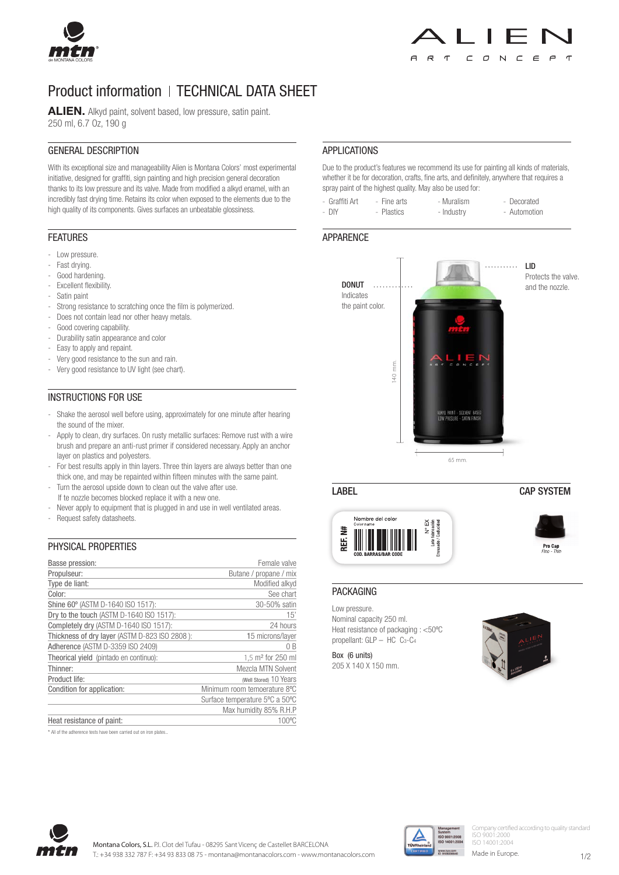

# Product information | TECHNICAL DATA SHEET

ALIEN. Alkyd paint, solvent based, low pressure, satin paint. 250 ml, 6.7 Oz, 190 g

## GENERAL DESCRIPTION

With its exceptional size and manageability Alien is Montana Colors' most experimental initiative, designed for graffiti, sign painting and high precision general decoration thanks to its low pressure and its valve. Made from modified a alkyd enamel, with an incredibly fast drying time. Retains its color when exposed to the elements due to the high quality of its components. Gives surfaces an unbeatable glossiness.

# FEATURES

- Low pressure.
- Fast drying.
- Good hardening
- Excellent flexibility.
- Satin paint
- Strong resistance to scratching once the film is polymerized.
- Does not contain lead nor other heavy metals.
- Good covering capability.
- Durability satin appearance and color
- Easy to apply and repaint.
- Very good resistance to the sun and rain.
- Very good resistance to UV light (see chart).

# INSTRUCTIONS FOR USE

- Shake the aerosol well before using, approximately for one minute after hearing the sound of the mixer.
- Apply to clean, dry surfaces. On rusty metallic surfaces: Remove rust with a wire brush and prepare an anti-rust primer if considered necessary. Apply an anchor layer on plastics and polyesters.
- For best results apply in thin layers. Three thin layers are always better than one thick one, and may be repainted within fifteen minutes with the same paint.
- Turn the aerosol upside down to clean out the valve after use.
- If te nozzle becomes blocked replace it with a new one.
- Never apply to equipment that is plugged in and use in well ventilated areas.
- Request safety datasheets.

### PHYSICAL PROPERTIES

| Basse pression:                               | Female valve                   |
|-----------------------------------------------|--------------------------------|
| Propulseur:                                   | Butane / propane / mix         |
| Type de liant:                                | Modified alkyd                 |
| Color:                                        | See chart                      |
| Shine 60° (ASTM D-1640 ISO 1517):             | 30-50% satin                   |
| Dry to the touch (ASTM D-1640 ISO 1517):      | 15'                            |
| Completely dry (ASTM D-1640 ISO 1517):        | 24 hours                       |
| Thickness of dry layer (ASTM D-823 ISO 2808): | 15 microns/layer               |
| Adherence (ASTM D-3359 ISO 2409)              | 0 B                            |
| Theorical yield (pintado en continuo):        | 1,5 m <sup>2</sup> for 250 ml  |
| Thinner:                                      | <b>Mezcla MTN Solvent</b>      |
| Product life:                                 | (Well Stored) 10 Years         |
| Condition for application:                    | Minimum room temoerature 8°C   |
|                                               | Surface temperature 5°C a 50°C |
|                                               | Max humidity 85% R.H.P         |
| Heat resistance of paint:                     | 100°C                          |

\* All of the adherence tests have been carried out on iron plates..

# APPLICATIONS

Due to the product's features we recommend its use for painting all kinds of materials, whether it be for decoration, crafts, fine arts, and definitely, anywhere that requires a spray paint of the highest quality. May also be used for:

| - Graffiti Art | - Fine arts | - Muralism | - Decorated  |
|----------------|-------------|------------|--------------|
| - DIY          | - Plastics  | - Industry | - Automotion |

### **APPARENCE**



#### LABEL CAP SYSTEM Nombre del colo 丫 쁄 Ē  $\frac{1}{6}$ **Pro Cap**<br>Fino - Thin

#### PACKAGING

Low pressure. Nominal capacity 250 ml. Heat resistance of packaging : <50ºC propellant: GLP – HC C3-C4

Box (6 units) 205 X 140 X 150 mm.





Company certified according to quality standard ISO 9001:2000 ISO 14001:2004